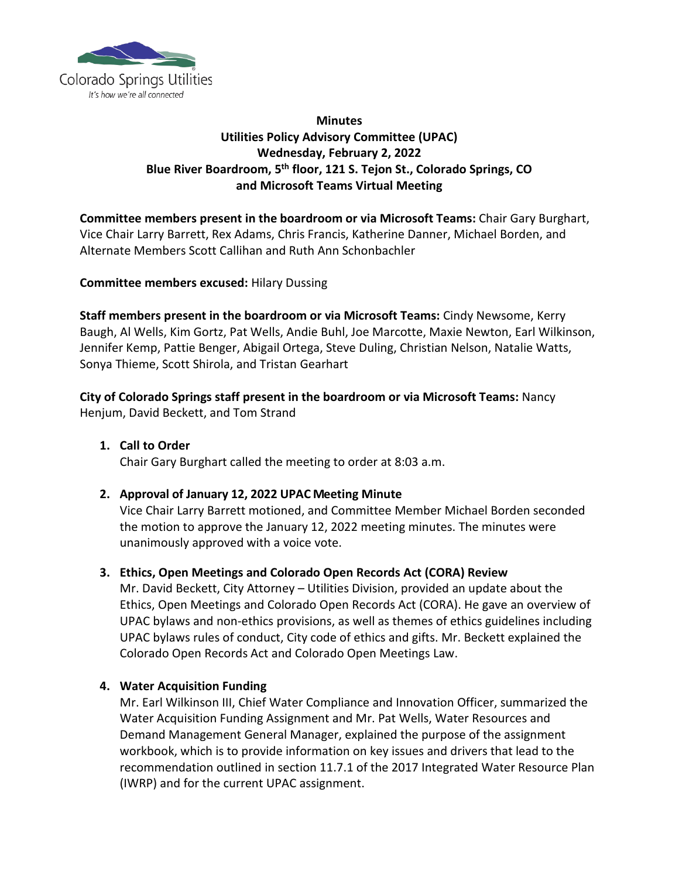

## **Minutes Utilities Policy Advisory Committee (UPAC) Wednesday, February 2, 2022 Blue River Boardroom, 5th floor, 121 S. Tejon St., Colorado Springs, CO and Microsoft Teams Virtual Meeting**

**Committee members present in the boardroom or via Microsoft Teams:** Chair Gary Burghart, Vice Chair Larry Barrett, Rex Adams, Chris Francis, Katherine Danner, Michael Borden, and Alternate Members Scott Callihan and Ruth Ann Schonbachler

**Committee members excused:** Hilary Dussing

**Staff members present in the boardroom or via Microsoft Teams:** Cindy Newsome, Kerry Baugh, Al Wells, Kim Gortz, Pat Wells, Andie Buhl, Joe Marcotte, Maxie Newton, Earl Wilkinson, Jennifer Kemp, Pattie Benger, Abigail Ortega, Steve Duling, Christian Nelson, Natalie Watts, Sonya Thieme, Scott Shirola, and Tristan Gearhart

**City of Colorado Springs staff present in the boardroom or via Microsoft Teams:** Nancy Henjum, David Beckett, and Tom Strand

**1. Call to Order** Chair Gary Burghart called the meeting to order at 8:03 a.m.

### **2. Approval of January 12, 2022 UPAC Meeting Minute**

Vice Chair Larry Barrett motioned, and Committee Member Michael Borden seconded the motion to approve the January 12, 2022 meeting minutes. The minutes were unanimously approved with a voice vote.

### **3. Ethics, Open Meetings and Colorado Open Records Act (CORA) Review**

Mr. David Beckett, City Attorney – Utilities Division, provided an update about the Ethics, Open Meetings and Colorado Open Records Act (CORA). He gave an overview of UPAC bylaws and non-ethics provisions, as well as themes of ethics guidelines including UPAC bylaws rules of conduct, City code of ethics and gifts. Mr. Beckett explained the Colorado Open Records Act and Colorado Open Meetings Law.

### **4. Water Acquisition Funding**

Mr. Earl Wilkinson III, Chief Water Compliance and Innovation Officer, summarized the Water Acquisition Funding Assignment and Mr. Pat Wells, Water Resources and Demand Management General Manager, explained the purpose of the assignment workbook, which is to provide information on key issues and drivers that lead to the recommendation outlined in section 11.7.1 of the 2017 Integrated Water Resource Plan (IWRP) and for the current UPAC assignment.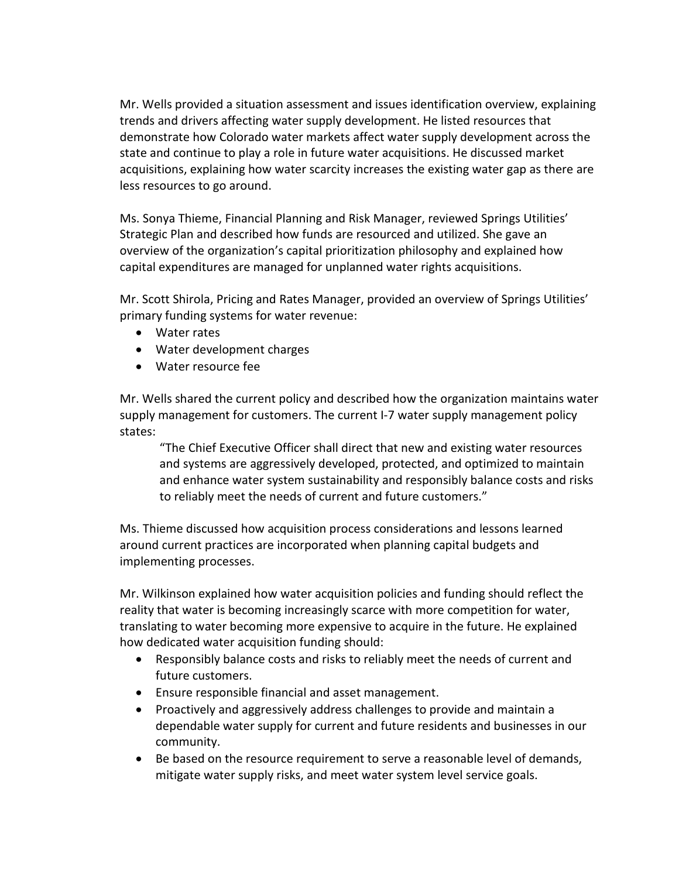Mr. Wells provided a situation assessment and issues identification overview, explaining trends and drivers affecting water supply development. He listed resources that demonstrate how Colorado water markets affect water supply development across the state and continue to play a role in future water acquisitions. He discussed market acquisitions, explaining how water scarcity increases the existing water gap as there are less resources to go around.

Ms. Sonya Thieme, Financial Planning and Risk Manager, reviewed Springs Utilities' Strategic Plan and described how funds are resourced and utilized. She gave an overview of the organization's capital prioritization philosophy and explained how capital expenditures are managed for unplanned water rights acquisitions.

Mr. Scott Shirola, Pricing and Rates Manager, provided an overview of Springs Utilities' primary funding systems for water revenue:

- Water rates
- Water development charges
- Water resource fee

Mr. Wells shared the current policy and described how the organization maintains water supply management for customers. The current I-7 water supply management policy states:

"The Chief Executive Officer shall direct that new and existing water resources and systems are aggressively developed, protected, and optimized to maintain and enhance water system sustainability and responsibly balance costs and risks to reliably meet the needs of current and future customers."

Ms. Thieme discussed how acquisition process considerations and lessons learned around current practices are incorporated when planning capital budgets and implementing processes.

Mr. Wilkinson explained how water acquisition policies and funding should reflect the reality that water is becoming increasingly scarce with more competition for water, translating to water becoming more expensive to acquire in the future. He explained how dedicated water acquisition funding should:

- Responsibly balance costs and risks to reliably meet the needs of current and future customers.
- Ensure responsible financial and asset management.
- Proactively and aggressively address challenges to provide and maintain a dependable water supply for current and future residents and businesses in our community.
- Be based on the resource requirement to serve a reasonable level of demands, mitigate water supply risks, and meet water system level service goals.